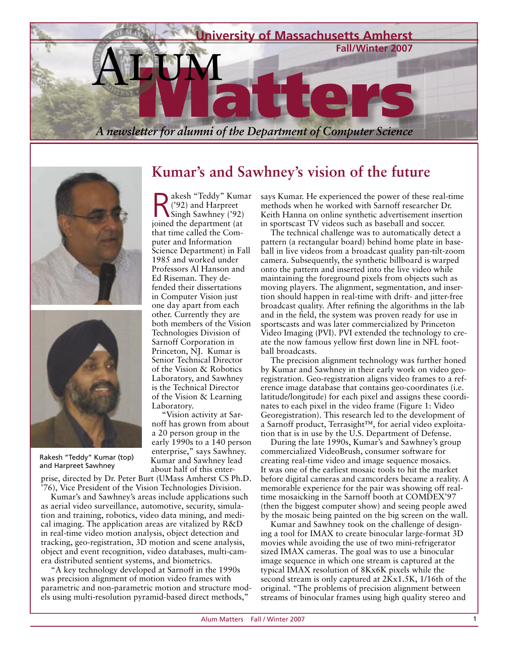

Singh Sawhney ('92) joined the department (at that time called the Computer and Information

1985 and worked under Professors Al Hanson and Ed Riseman. They defended their dissertations in Computer Vision just one day apart from each other. Currently they are both members of the Vision Technologies Division of Sarnoff Corporation in Princeton, NJ. Kumar is Senior Technical Director of the Vision & Robotics Laboratory, and Sawhney is the Technical Director of the Vision & Learning





Rakesh "Teddy" Kumar (top) and Harpreet Sawhney

prise, directed by Dr. Peter Burt (UMass Amherst CS Ph.D. '76), Vice President of the Vision Technologies Division.

Laboratory.

"Vision activity at Sarnoff has grown from about a 20 person group in the early 1990s to a 140 person enterprise," says Sawhney. Kumar and Sawhney lead about half of this enter-

Kumar's and Sawhney's areas include applications such as aerial video surveillance, automotive, security, simulation and training, robotics, video data mining, and medical imaging. The application areas are vitalized by R&D in real-time video motion analysis, object detection and tracking, geo-registration, 3D motion and scene analysis, object and event recognition, video databases, multi-camera distributed sentient systems, and biometrics.

"A key technology developed at Sarnoff in the 1990s was precision alignment of motion video frames with parametric and non-parametric motion and structure models using multi-resolution pyramid-based direct methods,"

#### akesh "Teddy" Kumar ('92) and Harpreet says Kumar. He experienced the power of these real-time methods when he worked with Sarnoff researcher Dr.

**Kumar's and Sawhney's vision of the future**

Science Department) in Fall Keith Hanna on online synthetic advertisement insertion in sportscast TV videos such as baseball and soccer. The technical challenge was to automatically detect a pattern (a rectangular board) behind home plate in baseball in live videos from a broadcast quality pan-tilt-zoom camera. Subsequently, the synthetic billboard is warped onto the pattern and inserted into the live video while maintaining the foreground pixels from objects such as moving players. The alignment, segmentation, and insertion should happen in real-time with drift- and jitter-free

broadcast quality. After refining the algorithms in the lab and in the field, the system was proven ready for use in sportscasts and was later commercialized by Princeton Video Imaging (PVI). PVI extended the technology to create the now famous yellow first down line in NFL football broadcasts.

The precision alignment technology was further honed by Kumar and Sawhney in their early work on video georegistration. Geo-registration aligns video frames to a reference image database that contains geo-coordinates (i.e. latitude/longitude) for each pixel and assigns these coordinates to each pixel in the video frame (Figure 1: Video Georegistration). This research led to the development of a Sarnoff product, Terrasight™, for aerial video exploitation that is in use by the U.S. Department of Defense.

During the late 1990s, Kumar's and Sawhney's group commercialized VideoBrush, consumer software for creating real-time video and image sequence mosaics. It was one of the earliest mosaic tools to hit the market before digital cameras and camcorders became a reality. A memorable experience for the pair was showing off realtime mosaicking in the Sarnoff booth at COMDEX'97 (then the biggest computer show) and seeing people awed by the mosaic being painted on the big screen on the wall.

Kumar and Sawhney took on the challenge of designing a tool for IMAX to create binocular large-format 3D movies while avoiding the use of two mini-refrigerator sized IMAX cameras. The goal was to use a binocular image sequence in which one stream is captured at the typical IMAX resolution of 8Kx6K pixels while the second stream is only captured at 2Kx1.5K, 1/16th of the original. "The problems of precision alignment between streams of binocular frames using high quality stereo and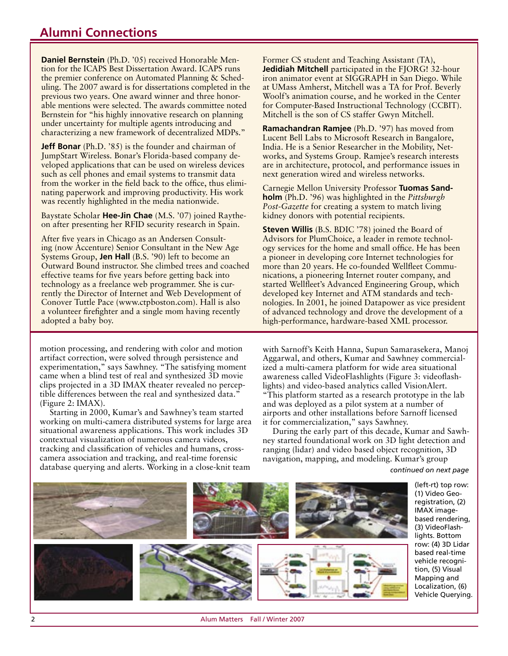### **Alumni Connections**

**Daniel Bernstein** (Ph.D. '05) received Honorable Mention for the ICAPS Best Dissertation Award. ICAPS runs the premier conference on Automated Planning & Scheduling. The 2007 award is for dissertations completed in the previous two years. One award winner and three honorable mentions were selected. The awards committee noted Bernstein for "his highly innovative research on planning under uncertainty for multiple agents introducing and characterizing a new framework of decentralized MDPs."

**Jeff Bonar** (Ph.D. '85) is the founder and chairman of JumpStart Wireless. Bonar's Florida-based company developed applications that can be used on wireless devices such as cell phones and email systems to transmit data from the worker in the field back to the office, thus eliminating paperwork and improving productivity. His work was recently highlighted in the media nationwide.

Baystate Scholar **Hee-Jin Chae** (M.S. '07) joined Raytheon after presenting her RFID security research in Spain.

After five years in Chicago as an Andersen Consulting (now Accenture) Senior Consultant in the New Age Systems Group, **Jen Hall** (B.S. '90) left to become an Outward Bound instructor. She climbed trees and coached effective teams for five years before getting back into technology as a freelance web programmer. She is currently the Director of Internet and Web Development of Conover Tuttle Pace (www.ctpboston.com). Hall is also a volunteer firefighter and a single mom having recently adopted a baby boy.

motion processing, and rendering with color and motion artifact correction, were solved through persistence and experimentation," says Sawhney. "The satisfying moment came when a blind test of real and synthesized 3D movie clips projected in a 3D IMAX theater revealed no perceptible differences between the real and synthesized data." (Figure 2: IMAX).

Starting in 2000, Kumar's and Sawhney's team started working on multi-camera distributed systems for large area situational awareness applications. This work includes 3D contextual visualization of numerous camera videos, tracking and classification of vehicles and humans, crosscamera association and tracking, and real-time forensic database querying and alerts. Working in a close-knit team *continued on next page* 

Former CS student and Teaching Assistant (TA), **Jedidiah Mitchell** participated in the FJORG! 32-hour iron animator event at SIGGRAPH in San Diego. While at UMass Amherst, Mitchell was a TA for Prof. Beverly Woolf's animation course, and he worked in the Center for Computer-Based Instructional Technology (CCBIT). Mitchell is the son of CS staffer Gwyn Mitchell.

**Ramachandran Ramjee** (Ph.D. '97) has moved from Lucent Bell Labs to Microsoft Research in Bangalore, India. He is a Senior Researcher in the Mobility, Networks, and Systems Group. Ramjee's research interests are in architecture, protocol, and performance issues in next generation wired and wireless networks.

Carnegie Mellon University Professor **Tuomas Sandholm** (Ph.D. '96) was highlighted in the *Pittsburgh Post-Gazette* for creating a system to match living kidney donors with potential recipients.

**Steven Willis** (B.S. BDIC '78) joined the Board of Advisors for PlumChoice, a leader in remote technology services for the home and small office. He has been a pioneer in developing core Internet technologies for more than 20 years. He co-founded Wellfleet Communications, a pioneering Internet router company, and started Wellfleet's Advanced Engineering Group, which developed key Internet and ATM standards and technologies. In 2001, he joined Datapower as vice president of advanced technology and drove the development of a high-performance, hardware-based XML processor.

with Sarnoff's Keith Hanna, Supun Samarasekera, Manoj Aggarwal, and others, Kumar and Sawhney commercialized a multi-camera platform for wide area situational awareness called VideoFlashlights (Figure 3: videoflashlights) and video-based analytics called VisionAlert.

"This platform started as a research prototype in the lab and was deployed as a pilot system at a number of airports and other installations before Sarnoff licensed it for commercialization," says Sawhney.

During the early part of this decade, Kumar and Sawhney started foundational work on 3D light detection and ranging (lidar) and video based object recognition, 3D navigation, mapping, and modeling. Kumar's group



(left-rt) top row: (1) Video Georegistration, (2) IMAX imagebased rendering, (3) VideoFlashlights. Bottom row: (4) 3D Lidar based real-time vehicle recognition, (5) Visual Mapping and Localization, (6) Vehicle Querying.

Alum Matters Fall / Winter 2007